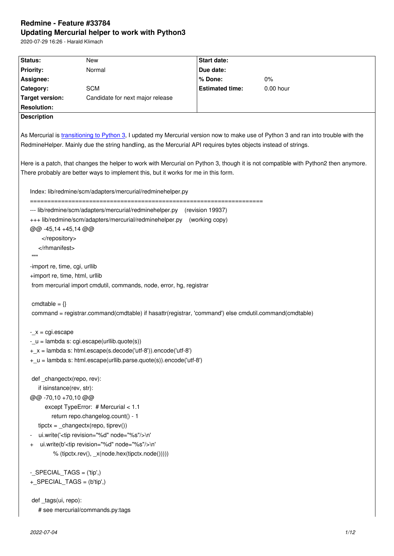#### **Updating Mercurial helper to work with Python3**

2020-07-29 16:26 - Harald Klimach

| Status:                        | New                                                                                                                                 | Start date:            |                                                                                                                                     |
|--------------------------------|-------------------------------------------------------------------------------------------------------------------------------------|------------------------|-------------------------------------------------------------------------------------------------------------------------------------|
| <b>Priority:</b>               | Normal                                                                                                                              | Due date:              |                                                                                                                                     |
| Assignee:                      |                                                                                                                                     | % Done:                | 0%                                                                                                                                  |
| Category:                      | <b>SCM</b>                                                                                                                          | <b>Estimated time:</b> | 0.00 hour                                                                                                                           |
| <b>Target version:</b>         | Candidate for next major release                                                                                                    |                        |                                                                                                                                     |
| <b>Resolution:</b>             |                                                                                                                                     |                        |                                                                                                                                     |
| <b>Description</b>             |                                                                                                                                     |                        |                                                                                                                                     |
|                                |                                                                                                                                     |                        |                                                                                                                                     |
|                                | As Mercurial is transitioning to Python 3, I updated my Mercurial version now to make use of Python 3 and ran into trouble with the |                        |                                                                                                                                     |
|                                | RedmineHelper. Mainly due the string handling, as the Mercurial API requires bytes objects instead of strings.                      |                        |                                                                                                                                     |
|                                |                                                                                                                                     |                        |                                                                                                                                     |
|                                |                                                                                                                                     |                        | Here is a patch, that changes the helper to work with Mercurial on Python 3, though it is not compatible with Python2 then anymore. |
|                                | There probably are better ways to implement this, but it works for me in this form.                                                 |                        |                                                                                                                                     |
|                                | Index: lib/redmine/scm/adapters/mercurial/redminehelper.py                                                                          |                        |                                                                                                                                     |
|                                |                                                                                                                                     |                        |                                                                                                                                     |
|                                | --- lib/redmine/scm/adapters/mercurial/redminehelper.py (revision 19937)                                                            |                        |                                                                                                                                     |
|                                | +++ lib/redmine/scm/adapters/mercurial/redminehelper.py (working copy)                                                              |                        |                                                                                                                                     |
| @@-45,14+45,14@@               |                                                                                                                                     |                        |                                                                                                                                     |
|                                |                                                                                                                                     |                        |                                                                                                                                     |
|                                |                                                                                                                                     |                        |                                                                                                                                     |
| ,,,,,                          |                                                                                                                                     |                        |                                                                                                                                     |
| -import re, time, cgi, urllib  |                                                                                                                                     |                        |                                                                                                                                     |
| +import re, time, html, urllib |                                                                                                                                     |                        |                                                                                                                                     |
|                                | from mercurial import cmdutil, commands, node, error, hg, registrar                                                                 |                        |                                                                                                                                     |
|                                |                                                                                                                                     |                        |                                                                                                                                     |
| cmdtable = $\{\}$              |                                                                                                                                     |                        |                                                                                                                                     |
|                                | command = registrar.command(cmdtable) if hasattr(registrar, 'command') else cmdutil.command(cmdtable)                               |                        |                                                                                                                                     |
| $-x = cgi.escape$              |                                                                                                                                     |                        |                                                                                                                                     |
|                                | $-$ _u = lambda s: cgi.escape(urllib.quote(s))                                                                                      |                        |                                                                                                                                     |
|                                | +_x = lambda s: html.escape(s.decode('utf-8')).encode('utf-8')                                                                      |                        |                                                                                                                                     |
|                                | +_u = lambda s: html.escape(urllib.parse.quote(s)).encode('utf-8')                                                                  |                        |                                                                                                                                     |
|                                |                                                                                                                                     |                        |                                                                                                                                     |
| def _changectx(repo, rev):     |                                                                                                                                     |                        |                                                                                                                                     |
| if isinstance(rev, str):       |                                                                                                                                     |                        |                                                                                                                                     |
| @@-70,10+70,10@@               |                                                                                                                                     |                        |                                                                                                                                     |
|                                | except TypeError: # Mercurial < 1.1                                                                                                 |                        |                                                                                                                                     |
|                                | return repo.changelog.count() - 1                                                                                                   |                        |                                                                                                                                     |
|                                | $tipctx = _changectx(repo, tiprev())$                                                                                               |                        |                                                                                                                                     |
|                                | ui.write(' <tip node="%s" revision="%d"></tip> \n'                                                                                  |                        |                                                                                                                                     |
|                                | ui.write(b' <tip node="%s" revision="%d"></tip> \n'                                                                                 |                        |                                                                                                                                     |
|                                | % (tipctx.rev(), _x(node.hex(tipctx.node()))))                                                                                      |                        |                                                                                                                                     |
|                                |                                                                                                                                     |                        |                                                                                                                                     |
| -_SPECIAL_TAGS = ('tip',)      |                                                                                                                                     |                        |                                                                                                                                     |
| +_SPECIAL_TAGS = (b'tip',)     |                                                                                                                                     |                        |                                                                                                                                     |
| def _tags(ui, repo):           |                                                                                                                                     |                        |                                                                                                                                     |
|                                | # see mercurial/commands.py:tags                                                                                                    |                        |                                                                                                                                     |
|                                |                                                                                                                                     |                        |                                                                                                                                     |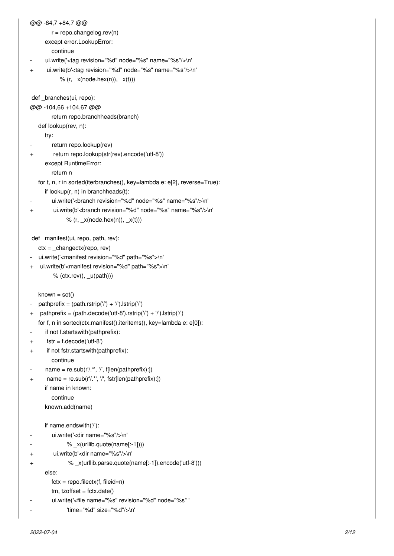```
@@ -84,7 +84,7 @@
        r = repo.changelog.rev(n)
      except error.LookupError:
         continue
     ui.write('<tag revision="%d" node="%s" name="%s"/>\n'
+ ui.write(b'<tag revision="%d" node="%s" name="%s"/>\n'
           % (r, x(node.hex(n)), x(t)))
def branches(ui, repo):
@@ -104,66 +104,67 @@
         return repo.branchheads(branch)
    def lookup(rev, n):
      try:
        return repo.lookup(rev)
+ return repo.lookup(str(rev).encode('utf-8'))
      except RuntimeError:
         return n
    for t, n, r in sorted(iterbranches(), key=lambda e: e[2], reverse=True):
      if lookup(r, n) in branchheads(t):
        ui.write('<branch revision="%d" node="%s" name="%s"/>\n'
+ ui.write(b'<branch revision="%d" node="%s" name="%s"/>\n'
              % (r, x(node.hex(n)), x(t)) def _manifest(ui, repo, path, rev):
    ctx = _changectx(repo, rev)
- ui.write('<manifest revision="%d" path="%s">\n'
  ui.write(b'<manifest revision="%d" path="%s">\n'
        % (ctx.rev(), u(path))known = set()pathprefix = (path.rstrip('') + '').lstrip('/')
+ pathprefix = (path.decode('utf-8').rstrip('/') + '/').lstrip('/')
    for f, n in sorted(ctx.manifest().iteritems(), key=lambda e: e[0]):
     if not f.startswith(pathprefix):
+ fstr = f.decode('utf-8')
+ if not fstr.startswith(pathprefix):
         continue
     name = re.sub(r/.*, ', f[len(pathprefix).])+ name = re.sub(r'/.*', '/', fstr[len(pathprefix):])
      if name in known:
         continue
      known.add(name)
      if name.endswith('/'):
        ui.write('<dir name="%s"/>\n'
              % _x(urllib.quote(name[:-1])))
+ ui.write(b'<dir name="%s"/>\n'
+ % _x(urllib.parse.quote(name[:-1]).encode('utf-8')))
      else:
        fctx = \text{repo.filectx}(f, \text{fileid} = n)tm, tzoffset = fctx.data()ui.write('<file name="%s" revision="%d" node="%s" '
              'time="%d" size="%d"/>\n'
```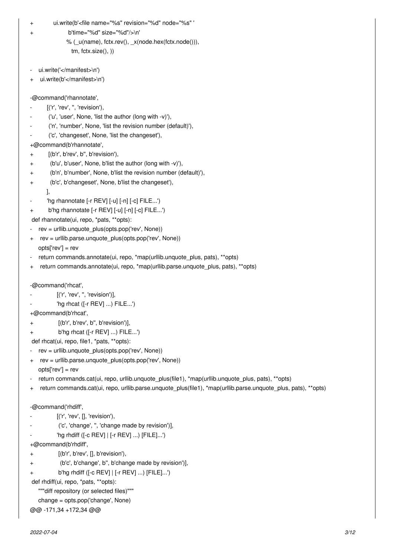ui.write(b'<file name="%s" revision="%d" node="%s" '

b'time="%d" size="%d"/>\n'

```
 % (_u(name), fctx.rev(), _x(node.hex(fctx.node())),
   tm, fctx.size(), ))
```
- ui.write('</manifest>\n')
- ui.write(b'</manifest>\n')

-@command('rhannotate',

- [('r', 'rev', ", 'revision'),
- ('u', 'user', None, 'list the author (long with -v)'),
- ('n', 'number', None, 'list the revision number (default)'),
- ('c', 'changeset', None, 'list the changeset'),

+@command(b'rhannotate',

- + [(b'r', b'rev', b'', b'revision'),
- + (b'u', b'user', None, b'list the author (long with -v)'),
- + (b'n', b'number', None, b'list the revision number (default)'),
- + (b'c', b'changeset', None, b'list the changeset'),
	- ],
- 'hg rhannotate [-r REV] [-u] [-n] [-c] FILE...')
- + b'hg rhannotate [-r REV] [-u] [-n] [-c] FILE...')
- def rhannotate(ui, repo, \*pats, \*\*opts):
- rev = urllib.unquote\_plus(opts.pop('rev', None))
- rev = urllib.parse.unquote\_plus(opts.pop('rev', None)) opts['rev'] = rev
- return commands.annotate(ui, repo, \*map(urllib.unquote\_plus, pats), \*\*opts)
- + return commands.annotate(ui, repo, \*map(urllib.parse.unquote\_plus, pats), \*\*opts)

```
-@command('rhcat',
```
- [('r', 'rev', ", 'revision')],
- 'hg rhcat ([-r REV] ...) FILE...')
- +@command(b'rhcat',
- + [(b'r', b'rev', b'', b'revision')],
- + b'hg rhcat ([-r REV] ...) FILE...')

def rhcat(ui, repo, file1, \*pats, \*\*opts):

- rev = urllib.unquote\_plus(opts.pop('rev', None))
- + rev = urllib.parse.unquote\_plus(opts.pop('rev', None))
- opts['rev'] = rev
- return commands.cat(ui, repo, urllib.unquote\_plus(file1), \*map(urllib.unquote\_plus, pats), \*\*opts)
- + return commands.cat(ui, repo, urllib.parse.unquote plus(file1), \*map(urllib.parse.unquote plus, pats), \*\*opts)

```
-@command('rhdiff',
```
- [('r', 'rev', [], 'revision'),
- ('c', 'change', '', 'change made by revision')],
- 'hg rhdiff ([-c REV] | [-r REV] ...) [FILE]...')
- +@command(b'rhdiff',
- + [(b'r', b'rev', [], b'revision'),
- + (b'c', b'change', b'', b'change made by revision')],

```
b'hg rhdiff ([-c REV] | [-r REV] ...) [FILE]...')
```

```
 def rhdiff(ui, repo, *pats, **opts):
```

```
 """diff repository (or selected files)"""
```

```
 change = opts.pop('change', None)
```

```
@@ -171,34 +172,34 @@
```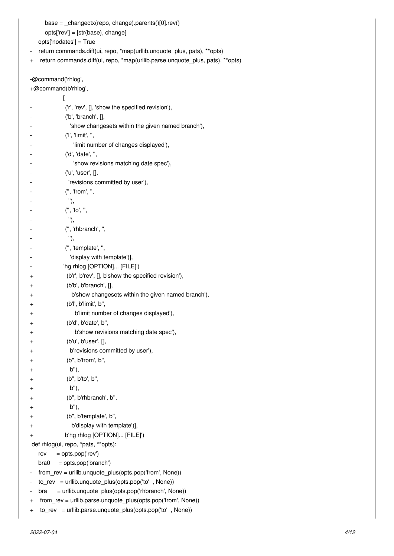```
base = _{\text{c}}changectx(repo, change).parents()[0].rev()
```
opts['rev'] = [str(base), change]

opts['nodates'] = True

- return commands.diff(ui, repo, \*map(urllib.unquote\_plus, pats), \*\*opts)
- + return commands.diff(ui, repo, \*map(urllib.parse.unquote\_plus, pats), \*\*opts)

-@command('rhlog',

+@command(b'rhlog',

|           | ('r', 'rev', [], 'show the specified revision'),             |
|-----------|--------------------------------------------------------------|
|           | $(b', 'branch', []$ ,                                        |
|           | 'show changesets within the given named branch'),            |
|           | ('I', 'limit', '',                                           |
|           | 'limit number of changes displayed'),                        |
|           | ('d', 'date', ",                                             |
|           | 'show revisions matching date spec'),                        |
|           | ('u', 'user', [],                                            |
|           | 'revisions committed by user'),                              |
|           | (", 'from', ",                                               |
|           | "),                                                          |
|           | (", 'to', ",                                                 |
|           | "),                                                          |
|           | (", 'rhbranch', ",                                           |
|           | "),                                                          |
|           | (", 'template', ",                                           |
|           | 'display with template')],                                   |
|           | 'hg rhlog [OPTION] [FILE]')                                  |
| +         | (b'r', b'rev', [], b'show the specified revision'),          |
| +         | (b'b', b'branch', [],                                        |
| $\pmb{+}$ | b'show changesets within the given named branch'),           |
| +         | (b'l', b'limit', b",                                         |
| +         | b'limit number of changes displayed'),                       |
| +         | (b'd', b'date', b",                                          |
| +         | b'show revisions matching date spec'),                       |
| +         | (b'u', b'user', [],                                          |
| +         | b'revisions committed by user'),                             |
| +         | (b", b'from', b",                                            |
| +         | b"),                                                         |
| +         | (b", b'to', b",                                              |
| +         | b"),                                                         |
| $\pmb{+}$ | (b", b'rhbranch', b",                                        |
| +         | b"),                                                         |
| $\pmb{+}$ | (b", b'template', b",                                        |
| +         | b'display with template')],                                  |
| +         | b'hg rhlog [OPTION] [FILE]')                                 |
|           | def rhlog(ui, repo, *pats, **opts):                          |
|           | = opts.pop('rev')<br>rev                                     |
|           | = opts.pop('branch')<br>bra0                                 |
|           | from_rev = urllib.unquote_plus(opts.pop('from', None))       |
|           | $to$ rev = urllib.unquote_plus(opts.pop('to', None))         |
|           | = urllib.unquote_plus(opts.pop('rhbranch', None))<br>bra     |
| $\pmb{+}$ | from_rev = urllib.parse.unquote_plus(opts.pop('from', None)) |
| $\pmb{+}$ | $to_{rev}$ = urllib.parse.unquote_plus(opts.pop('to', None)) |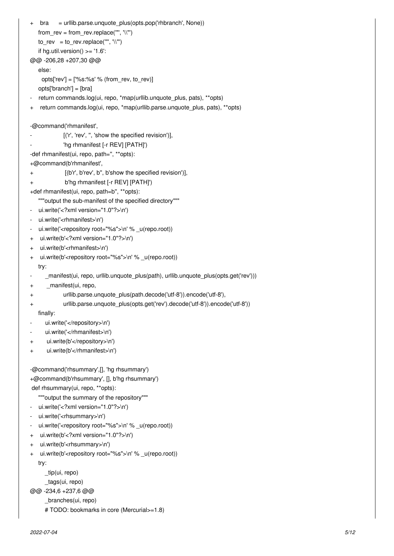```
bra = urllib.parse.unquote plus(opts.pop('rbbranch', None))from_rev = from_rev.replace("", \sqrt{''})
   to\_rev = to\_rev.replace("", "\"')if hg.util.version() >= '1.6':
@@ -206,28 +207,30 @@
    else:
    opts['rev'] = [%s:%s' % (from_rev, to_rev)]
    opts['branch'] = [bra]
   return commands.log(ui, repo, *map(urllib.unquote_plus, pats), **opts)
+ return commands.log(ui, repo, *map(urllib.parse.unquote_plus, pats), **opts)
-@command('rhmanifest',
            [('r', 'rev', ", 'show the specified revision')],
            'hg rhmanifest [-r REV] [PATH]')
-def rhmanifest(ui, repo, path=", **opts):
+@command(b'rhmanifest',
+ [(b'r', b'rev', b'', b'show the specified revision')],
+ b'hg rhmanifest [-r REV] [PATH]')
+def rhmanifest(ui, repo, path=b'', **opts):
    """output the sub-manifest of the specified directory""" 
- ui.write('<?xml version="1.0"?>\n')
- ui.write('<rhmanifest>\n')
   ui.write('<repository root="%s">\n' % u(repo.root))
+ ui.write(b'<?xml version="1.0"?>\n')
+ ui.write(b'<rhmanifest>\n')
+ ui.write(b'<repository root="%s">\n' % u(repo.root))
    try:
- manifest(ui, repo, urllib.unquote plus(path), urllib.unquote plus(opts.get('rev')))
+ _manifest(ui, repo,
+ urllib.parse.unquote_plus(path.decode('utf-8')).encode('utf-8'),
+ urllib.parse.unquote_plus(opts.get('rev').decode('utf-8')).encode('utf-8'))
    finally:
     ui.write('</repository>\n')
     ui.write('</rhmanifest>\n')
+ ui.write(b'</repository>\n')
+ ui.write(b'</rhmanifest>\n')
-@command('rhsummary',[], 'hg rhsummary')
+@command(b'rhsummary', [], b'hg rhsummary')
 def rhsummary(ui, repo, **opts):
    """output the summary of the repository""" 
   ui.write('<?xml version="1.0"?>\n')
- ui.write('<rhsummary>\n')
   ui.write('<repository root="%s">\n' % _u(repo.root))
+ ui.write(b'<?xml version="1.0"?>\n')
+ ui.write(b'<rhsummary>\n')
+ ui.write(b'<repository root="%s">\n' % u(repo.root))
    try:
      _tip(ui, repo)
      _tags(ui, repo)
@@ -234,6 +237,6 @@
      _branches(ui, repo)
      # TODO: bookmarks in core (Mercurial>=1.8)
```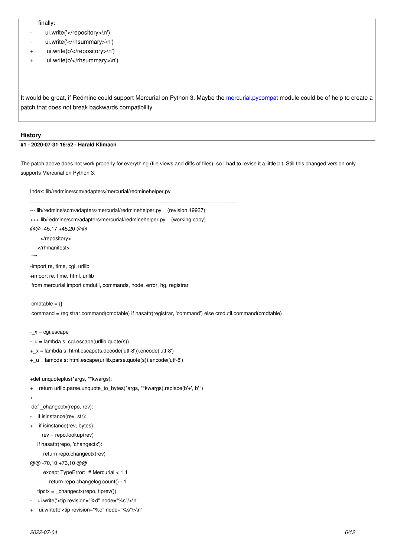- $u$ .write $(\vee)$ iepository $\vee$ ir)
- ui.write('</rhsummary>\n')
- + ui.write(b'</repository>\n')
- + ui.write(b'</rhsummary>\n')

It would be great, if Redmine could support Mercurial on Python 3. Maybe the mercurial.pycompat module could be of help to create a patch that does not break backwards compatibility.

#### **History**

# **#1 - 2020-07-31 16:52 - Harald Klimach**

The patch above does not work properly for everything (file views and diffs of files), so I had to revise it a little bit. Still this changed version only supports Mercurial on Python 3:

```
Index: lib/redmine/scm/adapters/mercurial/redminehelper.py
===================================================================
--- lib/redmine/scm/adapters/mercurial/redminehelper.py (revision 19937)
+++ lib/redmine/scm/adapters/mercurial/redminehelper.py (working copy)
@@ -45,17 +45,20 @@
     </repository>
    </rhmanifest>
 """ 
-import re, time, cgi, urllib
+import re, time, html, urllib
 from mercurial import cmdutil, commands, node, error, hg, registrar
cmdtable = \{\}command = registrar.command(cmdtable) if hasattr(registrar, 'command') else cmdutil.command(cmdtable)
-_x = cgi.escape
-_u = lambda s: cgi.escape(urllib.quote(s))
+_x = lambda s: html.escape(s.decode('utf-8')).encode('utf-8')
+_u = lambda s: html.escape(urllib.parse.quote(s)).encode('utf-8')
+def unquoteplus(*args, **kwargs):
+ return urllib.parse.unquote_to_bytes(*args, **kwargs).replace(b'+', b' ')
+
 def _changectx(repo, rev):
  if isinstance(rev, str):
+ if isinstance(rev, bytes):
     rev = repo.lookup(rev)
   if hasattr(repo, 'changectx'):
      return repo.changectx(rev)
@@ -70,10 +73,10 @@
      except TypeError: # Mercurial < 1.1
        return repo.changelog.count() - 1
   tipctx = _changectx(repo, tiprev())
  ui.write('<tip revision="%d" node="%s"/>\n'
+ ui.write(b'<tip revision="%d" node="%s"/>\n'
```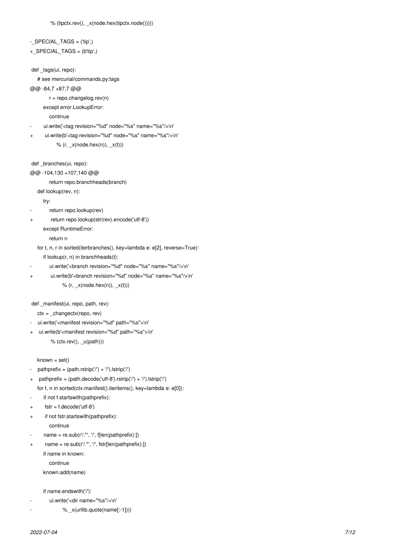```
- SPECIAL TAGS = ('tip',)
+_SPECIAL_TAGS = (b'tip',)
 def _tags(ui, repo):
    # see mercurial/commands.py:tags
@@ -84,7 +87,7 @@
        r = repo.changelog.rev(n)
      except error.LookupError:
         continue
      ui.write('<tag revision="%d" node="%s" name="%s"/>\n'
      ui.write(b'<tag revision="%d" node="%s" name="%s"/>\n'
           % (r, x(node.hex(n)), x(t))def branches(ui, repo):
@@ -104,130 +107,140 @@
         return repo.branchheads(branch)
    def lookup(rev, n):
      try:
        return repo.lookup(rev)
+ return repo.lookup(str(rev).encode('utf-8'))
       except RuntimeError:
         return n
    for t, n, r in sorted(iterbranches(), key=lambda e: e[2], reverse=True):
      if lookup(r, n) in branchheads(t):
        ui.write('<branch revision="%d" node="%s" name="%s"/>\n'
        ui.write(b'<branch revision="%d" node="%s" name="%s"/>\n'
              % (r, x(node.hex(n)), x(t)) def _manifest(ui, repo, path, rev):
    ctx = _changectx(repo, rev)
   ui.write('<manifest revision="%d" path="%s">\n'
+ ui.write(b'<manifest revision="%d" path="%s">\n'
         % (ctx.rev(), u(path)))
   known = set()pathprefix = (path.rstrip('') + '').lstrip('/')
+ pathprefix = (path.decode('utf-8').rstrip('/') + '/').lstrip('/')
    for f, n in sorted(ctx.manifest().iteritems(), key=lambda e: e[0]):
      if not f.startswith(pathprefix):
      fstr = f.decode('utf-8')+ if not fstr.startswith(pathprefix):
         continue
      name = re.sub(r'/.*', '', '[len(pathprefix):])+ name = re.sub(r'/.*', '/', fstr[len(pathprefix):])
      if name in known:
         continue
      known.add(name)
      if name.endswith('/'):
        ui.write('<dir name="%s"/>\n'
```

```
% _x(urllib.quote(name[:-1])))
```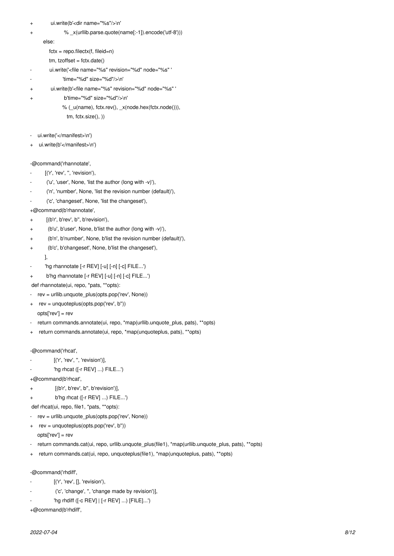- + ui.write(b'<dir name="%s"/>\n'
- + % \_x(urllib.parse.quote(name[:-1]).encode('utf-8')))

else:

- $fctx = repo.filectx(f, fileid = n)$
- $tm, tzoffset = fctx.data()$
- ui.write('<file name="%s" revision="%d" node="%s" '
- 'time="%d" size="%d"/>\n'
- + ui.write(b'<file name="%s" revision="%d" node="%s" '
- b'time="%d" size="%d"/>\n'
	- % (\_u(name), fctx.rev(), \_x(node.hex(fctx.node())),
		- tm, fctx.size(), ))
- ui.write('</manifest>\n')
- + ui.write(b'</manifest>\n')
- -@command('rhannotate',
- [('r', 'rev', ", 'revision'),
- ('u', 'user', None, 'list the author (long with -v)'),
- ('n', 'number', None, 'list the revision number (default)'),
- ('c', 'changeset', None, 'list the changeset'),
- +@command(b'rhannotate',
- + [(b'r', b'rev', b'', b'revision'),
- (b'u', b'user', None, b'list the author (long with -v)'),
- (b'n', b'number', None, b'list the revision number (default)'),
- (b'c', b'changeset', None, b'list the changeset'),
	- ],
- 'hg rhannotate [-r REV] [-u] [-n] [-c] FILE...')
- + b'hg rhannotate [-r REV] [-u] [-n] [-c] FILE...')

def rhannotate(ui, repo, \*pats, \*\*opts):

- rev = urllib.unquote\_plus(opts.pop('rev', None))
- + rev = unquoteplus(opts.pop('rev', b''))
	- opts['rev'] = rev
- return commands.annotate(ui, repo, \*map(urllib.unquote\_plus, pats), \*\*opts)
- + return commands.annotate(ui, repo, \*map(unquoteplus, pats), \*\*opts)

-@command('rhcat',

- [('r', 'rev', ", 'revision')],
- 'hg rhcat ([-r REV] ...) FILE...')

+@command(b'rhcat',

- + [(b'r', b'rev', b'', b'revision')],
- + b'hg rhcat ([-r REV] ...) FILE...')

def rhcat(ui, repo, file1, \*pats, \*\*opts):

- rev = urllib.unquote\_plus(opts.pop('rev', None))
- + rev = unquoteplus(opts.pop('rev', b'')) opts['rev'] = rev
- return commands.cat(ui, repo, urllib.unquote\_plus(file1), \*map(urllib.unquote\_plus, pats), \*\*opts)
- + return commands.cat(ui, repo, unquoteplus(file1), \*map(unquoteplus, pats), \*\*opts)

-@command('rhdiff',

- [('r', 'rev', [], 'revision'),
- ('c', 'change', '', 'change made by revision')],
- 'hg rhdiff ([-c REV] | [-r REV] ...) [FILE]...')

+@command(b'rhdiff',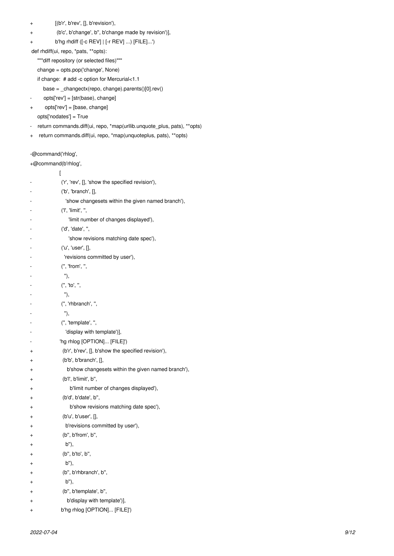- + [(b'r', b'rev', [], b'revision'),
- + (b'c', b'change', b'', b'change made by revision')],
- + b'hg rhdiff ([-c REV] | [-r REV] ...) [FILE]...')

def rhdiff(ui, repo, \*pats, \*\*opts):

"""diff repository (or selected files)"""

change = opts.pop('change', None)

- if change: # add -c option for Mercurial<1.1
- base = \_changectx(repo, change).parents()[0].rev()
- opts['rev'] = [str(base), change]
- + opts['rev'] = [base, change]

opts['nodates'] = True

- return commands.diff(ui, repo, \*map(urllib.unquote\_plus, pats), \*\*opts)
- + return commands.diff(ui, repo, \*map(unquoteplus, pats), \*\*opts)

-@command('rhlog',

| +@command(b'rhlog', |                                                     |
|---------------------|-----------------------------------------------------|
|                     | I                                                   |
|                     | ('r', 'rev', [], 'show the specified revision'),    |
|                     | (b', 'branch', []                                   |
|                     | 'show changesets within the given named branch'),   |
|                     | ('I', 'limit', ",                                   |
|                     | 'limit number of changes displayed'),               |
|                     | ('d', 'date', '',                                   |
|                     | 'show revisions matching date spec'),               |
|                     | ('u', 'user', [],                                   |
|                     | 'revisions committed by user'),                     |
|                     | (", 'from', ",                                      |
|                     | "),                                                 |
|                     | (", 'to', ",                                        |
|                     | "),                                                 |
|                     | (", 'rhbranch', ",                                  |
|                     | "),                                                 |
|                     | (", 'template', ",                                  |
|                     | 'display with template')],                          |
|                     | 'hg rhlog [OPTION] [FILE]')                         |
| $\pm$               | (b'r', b'rev', [], b'show the specified revision'), |
| $\pm$               | (b'b', b'branch', []                                |
| $\pm$               | b'show changesets within the given named branch'),  |
| +                   | (b'l', b'limit', b",                                |
| ÷                   | b'limit number of changes displayed'),              |
| +                   | (b'd', b'date', b'',                                |
| +                   | b'show revisions matching date spec'),              |
| ÷                   | (b'u', b'user', [],                                 |
| +                   | b'revisions committed by user'),                    |
| $\pm$               | (b", b'from', b",                                   |
| $\,^+$              | b"),                                                |
| +                   | (b", b'to', b",                                     |
| +                   | b"),                                                |
| +                   | (b", b'rhbranch', b",                               |
| +                   | b"),                                                |
| +                   | (b", b'template', b",                               |
| +                   | b'display with template')],                         |
| +                   | b'hg rhlog [OPTION] [FILE]')                        |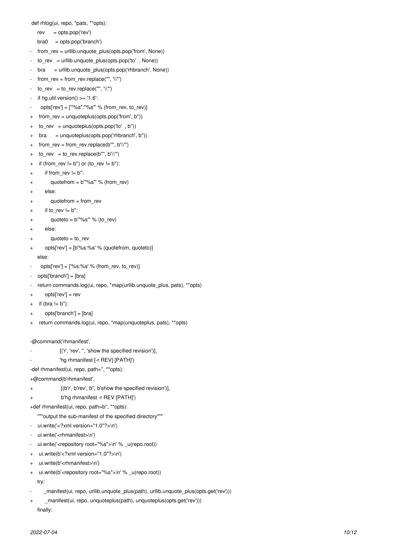def rhlog(ui, repo, \*pats, \*\*opts):

- $rev = opts.pop('rev')$
- $bra0 = opts.pop('branch')$
- from\_rev = urllib.unquote\_plus(opts.pop('from', None))
- to\_rev = urllib.unquote\_plus(opts.pop('to', None))
- bra = urllib.unquote\_plus(opts.pop('rhbranch', None))
- from\_rev = from\_rev.replace("",  $'\$ ")
- $\text{to\_rev} = \text{to\_rev.replace}("", \text{``\texttt{``\texttt{'''}})}$
- if  $hg.util.version() >= '1.6'.$
- opts['rev'] =  $["\%s": "\$ s" % (from rev, to rev)]
- + from\_rev = unquoteplus(opts.pop('from', b''))
- + to\_rev = unquoteplus(opts.pop('to' , b''))
- + bra = unquoteplus(opts.pop('rhbranch', b''))
- + from rev = from rev.replace(b"",  $b'\$ ")
- + to\_rev = to\_rev.replace(b"",  $b'\$ ")
- + if (from rev  $!= b'$ ) or (to rev  $!= b''$ ):
- + if from\_rev != b'':
- + quotefrom = b'"%s"' % (from\_rev)
- + else:
- $quotefrom = from\_rev$
- $if to_rev != b'$ :
- + quoteto =  $b'''$ %s" % (to rev)
- else:
- quoteto  $=$  to rev
- opts['rev'] = [b'%s:%s' % (quotefrom, quoteto)] else:
- opts['rev'] =  $[%s:\%s' \%$  (from\_rev, to\_rev)]
- opts['branch'] = [bra]
- return commands.log(ui, repo, \*map(urllib.unquote\_plus, pats), \*\*opts)
- + opts['rev'] = rev
- $+$  if (bra  $!=$  b"):
- + opts['branch'] = [bra]
- + return commands.log(ui, repo, \*map(unquoteplus, pats), \*\*opts)
- -@command('rhmanifest',
- [('r', 'rev', ", 'show the specified revision')],
- 'hg rhmanifest [-r REV] [PATH]')
- -def rhmanifest(ui, repo, path=", \*\*opts):
- +@command(b'rhmanifest',
- + [(b'r', b'rev', b'', b'show the specified revision')],
- + b'hg rhmanifest -r REV [PATH]')
- +def rhmanifest(ui, repo, path=b'', \*\*opts):
- """output the sub-manifest of the specified directory"""
- ui.write('<?xml version="1.0"?>\n')
- ui.write('<rhmanifest>\n')
- ui.write('<repository root="%s">\n' % \_u(repo.root))
- + ui.write(b'<?xml version="1.0"?>\n')
- + ui.write(b'<rhmanifest>\n')
- + ui.write(b'<repository root="%s">\n' % \_u(repo.root)) try:
- \_manifest(ui, repo, urllib.unquote\_plus(path), urllib.unquote\_plus(opts.get('rev')))
- + \_ \_manifest(ui, repo, unquoteplus(path), unquoteplus(opts.get('rev')))

finally: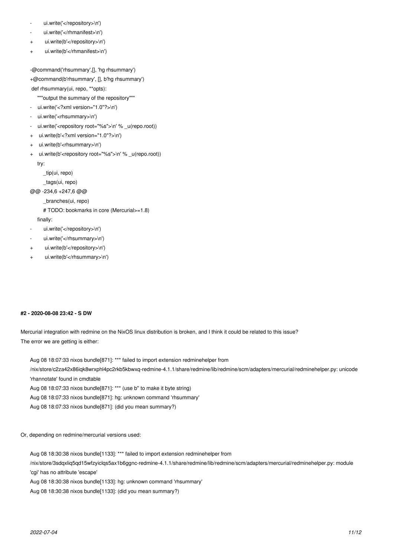- ui.write('</repository>\n')
- ui.write('</rhmanifest>\n')
- ui.write(b'</repository>\n')
- ui.write(b'</rhmanifest>\n')

```
-@command('rhsummary',[], 'hg rhsummary')
+@command(b'rhsummary', [], b'hg rhsummary')
```
- def rhsummary(ui, repo, \*\*opts):
	- """output the summary of the repository"""
- ui.write('<?xml version="1.0"?>\n')
- ui.write('<rhsummary>\n')
- ui.write('<repository root="%s">\n' % \_u(repo.root))
- + ui.write(b'<?xml version="1.0"?>\n')
- + ui.write(b'<rhsummary>\n')
- + ui.write(b'<repository root="%s">\n' % \_u(repo.root))

try:

- \_tip(ui, repo)
- \_tags(ui, repo)
- @@ -234,6 +247,6 @@

\_branches(ui, repo)

```
 # TODO: bookmarks in core (Mercurial>=1.8)
```
finally:

- ui.write('</repository>\n')
- ui.write('</rhsummary>\n')
- ui.write(b'</repository>\n')
- + ui.write(b'</rhsummary>\n')

# **#2 - 2020-08-08 23:42 - S DW**

Mercurial integration with redmine on the NixOS linux distribution is broken, and I think it could be related to this issue? The error we are getting is either:

Aug 08 18:07:33 nixos bundle[871]: \*\*\* failed to import extension redminehelper from /nix/store/c2za42x86iqk8wrxphl4pc2rkb5kbwxq-redmine-4.1.1/share/redmine/lib/redmine/scm/adapters/mercurial/redminehelper.py: unicode 'rhannotate' found in cmdtable Aug 08 18:07:33 nixos bundle[871]: \*\*\* (use b'' to make it byte string) Aug 08 18:07:33 nixos bundle[871]: hg: unknown command 'rhsummary'

Aug 08 18:07:33 nixos bundle[871]: (did you mean summary?)

### Or, depending on redmine/mercurial versions used:

Aug 08 18:30:38 nixos bundle[1133]: \*\*\* failed to import extension redminehelper from

/nix/store/3sdqxliq5qd15wfzyiclqs5ax1b6ggnc-redmine-4.1.1/share/redmine/lib/redmine/scm/adapters/mercurial/redminehelper.py: module 'cgi' has no attribute 'escape'

Aug 08 18:30:38 nixos bundle[1133]: hg: unknown command 'rhsummary'

Aug 08 18:30:38 nixos bundle[1133]: (did you mean summary?)